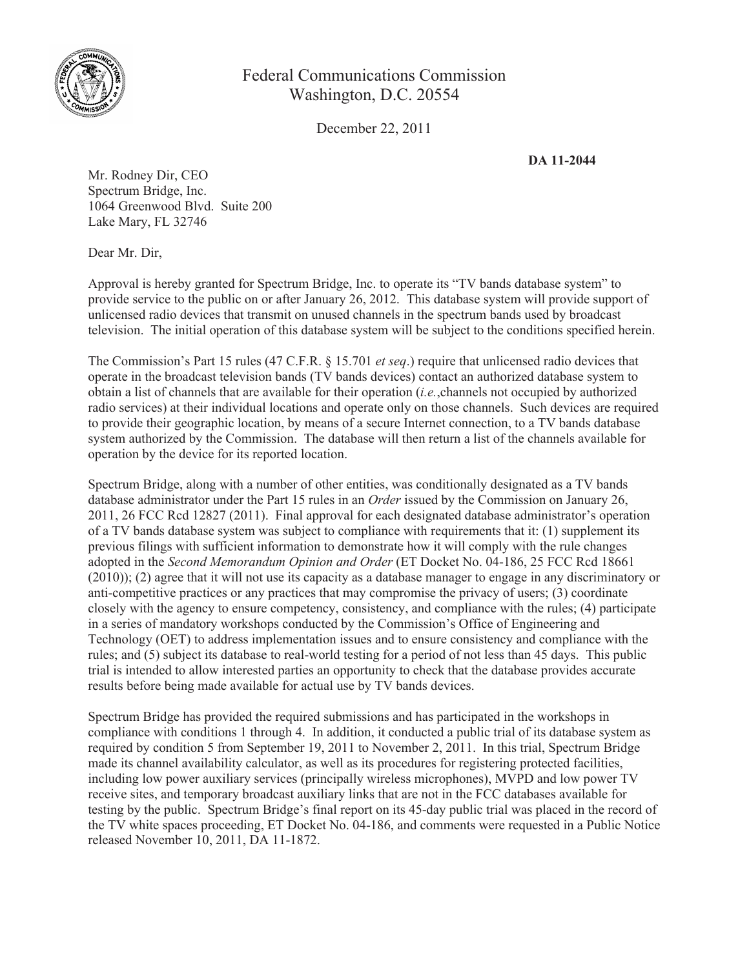

## Federal Communications Commission Washington, D.C. 20554

December 22, 2011

**DA 11-2044**

Mr. Rodney Dir, CEO Spectrum Bridge, Inc. 1064 Greenwood Blvd. Suite 200 Lake Mary, FL 32746

Dear Mr. Dir,

Approval is hereby granted for Spectrum Bridge, Inc. to operate its "TV bands database system" to provide service to the public on or after January 26, 2012. This database system will provide support of unlicensed radio devices that transmit on unused channels in the spectrum bands used by broadcast television. The initial operation of this database system will be subject to the conditions specified herein.

The Commission's Part 15 rules (47 C.F.R. § 15.701 *et seq*.) require that unlicensed radio devices that operate in the broadcast television bands (TV bands devices) contact an authorized database system to obtain a list of channels that are available for their operation (*i.e.*,channels not occupied by authorized radio services) at their individual locations and operate only on those channels. Such devices are required to provide their geographic location, by means of a secure Internet connection, to a TV bands database system authorized by the Commission. The database will then return a list of the channels available for operation by the device for its reported location.

Spectrum Bridge, along with a number of other entities, was conditionally designated as a TV bands database administrator under the Part 15 rules in an *Order* issued by the Commission on January 26, 2011, 26 FCC Rcd 12827 (2011). Final approval for each designated database administrator's operation of a TV bands database system was subject to compliance with requirements that it: (1) supplement its previous filings with sufficient information to demonstrate how it will comply with the rule changes adopted in the *Second Memorandum Opinion and Order* (ET Docket No. 04-186, 25 FCC Rcd 18661 (2010)); (2) agree that it will not use its capacity as a database manager to engage in any discriminatory or anti-competitive practices or any practices that may compromise the privacy of users; (3) coordinate closely with the agency to ensure competency, consistency, and compliance with the rules; (4) participate in a series of mandatory workshops conducted by the Commission's Office of Engineering and Technology (OET) to address implementation issues and to ensure consistency and compliance with the rules; and (5) subject its database to real-world testing for a period of not less than 45 days. This public trial is intended to allow interested parties an opportunity to check that the database provides accurate results before being made available for actual use by TV bands devices.

Spectrum Bridge has provided the required submissions and has participated in the workshops in compliance with conditions 1 through 4. In addition, it conducted a public trial of its database system as required by condition 5 from September 19, 2011 to November 2, 2011. In this trial, Spectrum Bridge made its channel availability calculator, as well as its procedures for registering protected facilities, including low power auxiliary services (principally wireless microphones), MVPD and low power TV receive sites, and temporary broadcast auxiliary links that are not in the FCC databases available for testing by the public. Spectrum Bridge's final report on its 45-day public trial was placed in the record of the TV white spaces proceeding, ET Docket No. 04-186, and comments were requested in a Public Notice released November 10, 2011, DA 11-1872.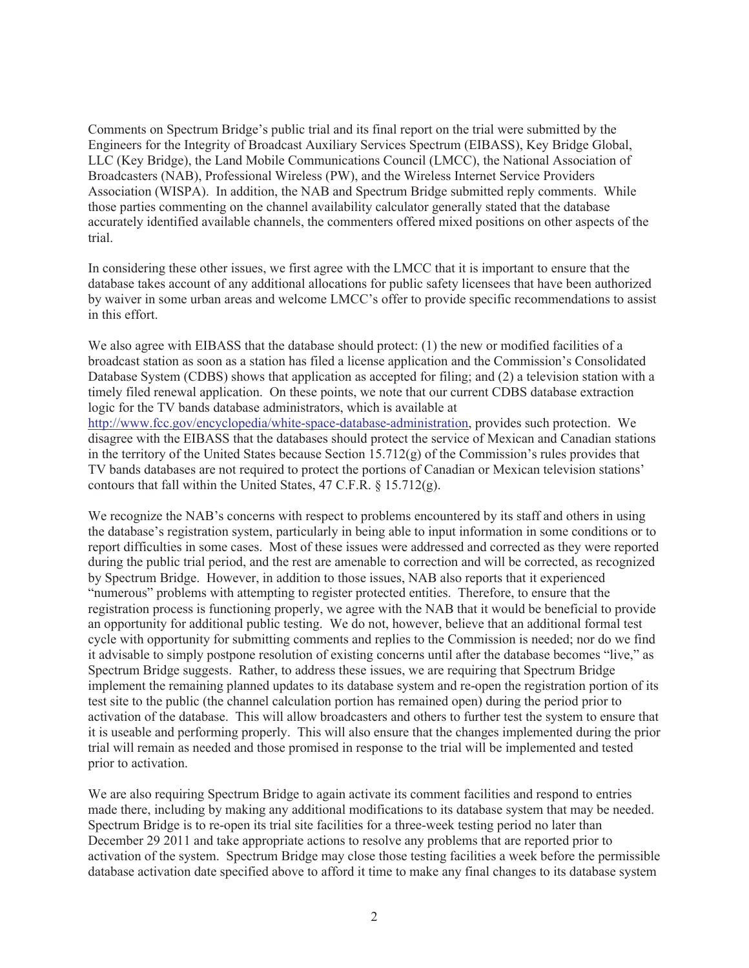Comments on Spectrum Bridge's public trial and its final report on the trial were submitted by the Engineers for the Integrity of Broadcast Auxiliary Services Spectrum (EIBASS), Key Bridge Global, LLC (Key Bridge), the Land Mobile Communications Council (LMCC), the National Association of Broadcasters (NAB), Professional Wireless (PW), and the Wireless Internet Service Providers Association (WISPA). In addition, the NAB and Spectrum Bridge submitted reply comments. While those parties commenting on the channel availability calculator generally stated that the database accurately identified available channels, the commenters offered mixed positions on other aspects of the trial.

In considering these other issues, we first agree with the LMCC that it is important to ensure that the database takes account of any additional allocations for public safety licensees that have been authorized by waiver in some urban areas and welcome LMCC's offer to provide specific recommendations to assist in this effort.

We also agree with EIBASS that the database should protect: (1) the new or modified facilities of a broadcast station as soon as a station has filed a license application and the Commission's Consolidated Database System (CDBS) shows that application as accepted for filing; and (2) a television station with a timely filed renewal application. On these points, we note that our current CDBS database extraction logic for the TV bands database administrators, which is available at http://www.fcc.gov/encyclopedia/white-space-database-administration, provides such protection. We disagree with the EIBASS that the databases should protect the service of Mexican and Canadian stations in the territory of the United States because Section  $15.712(g)$  of the Commission's rules provides that TV bands databases are not required to protect the portions of Canadian or Mexican television stations' contours that fall within the United States, 47 C.F.R. § 15.712(g).

We recognize the NAB's concerns with respect to problems encountered by its staff and others in using the database's registration system, particularly in being able to input information in some conditions or to report difficulties in some cases. Most of these issues were addressed and corrected as they were reported during the public trial period, and the rest are amenable to correction and will be corrected, as recognized by Spectrum Bridge. However, in addition to those issues, NAB also reports that it experienced "numerous" problems with attempting to register protected entities. Therefore, to ensure that the registration process is functioning properly, we agree with the NAB that it would be beneficial to provide an opportunity for additional public testing. We do not, however, believe that an additional formal test cycle with opportunity for submitting comments and replies to the Commission is needed; nor do we find it advisable to simply postpone resolution of existing concerns until after the database becomes "live," as Spectrum Bridge suggests. Rather, to address these issues, we are requiring that Spectrum Bridge implement the remaining planned updates to its database system and re-open the registration portion of its test site to the public (the channel calculation portion has remained open) during the period prior to activation of the database. This will allow broadcasters and others to further test the system to ensure that it is useable and performing properly. This will also ensure that the changes implemented during the prior trial will remain as needed and those promised in response to the trial will be implemented and tested prior to activation.

We are also requiring Spectrum Bridge to again activate its comment facilities and respond to entries made there, including by making any additional modifications to its database system that may be needed. Spectrum Bridge is to re-open its trial site facilities for a three-week testing period no later than December 29 2011 and take appropriate actions to resolve any problems that are reported prior to activation of the system. Spectrum Bridge may close those testing facilities a week before the permissible database activation date specified above to afford it time to make any final changes to its database system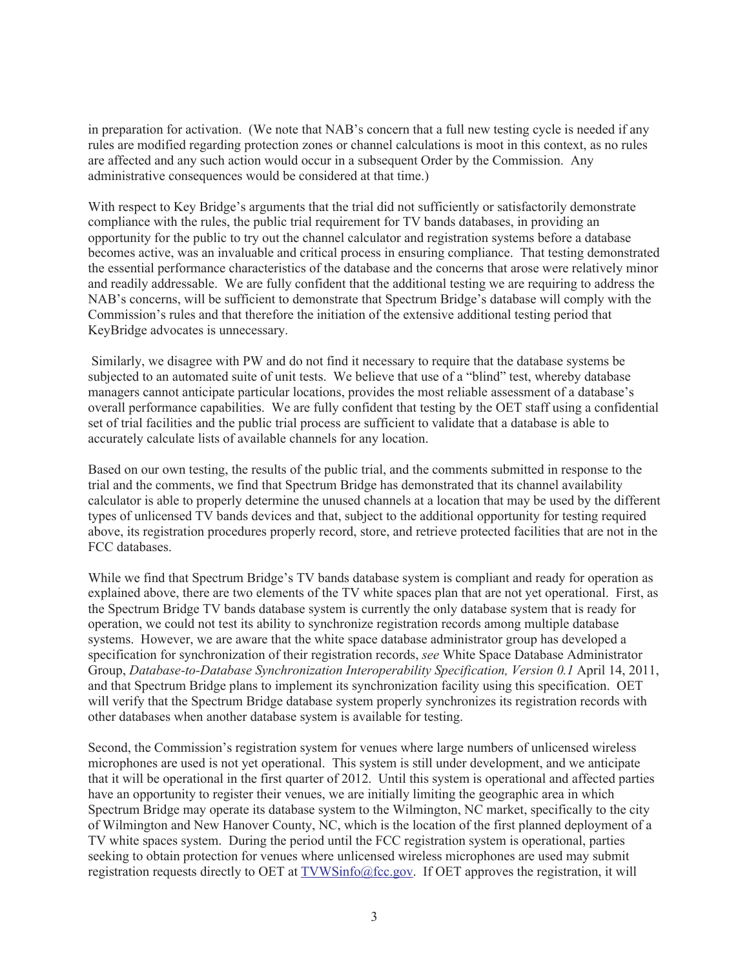in preparation for activation. (We note that NAB's concern that a full new testing cycle is needed if any rules are modified regarding protection zones or channel calculations is moot in this context, as no rules are affected and any such action would occur in a subsequent Order by the Commission. Any administrative consequences would be considered at that time.)

With respect to Key Bridge's arguments that the trial did not sufficiently or satisfactorily demonstrate compliance with the rules, the public trial requirement for TV bands databases, in providing an opportunity for the public to try out the channel calculator and registration systems before a database becomes active, was an invaluable and critical process in ensuring compliance. That testing demonstrated the essential performance characteristics of the database and the concerns that arose were relatively minor and readily addressable. We are fully confident that the additional testing we are requiring to address the NAB's concerns, will be sufficient to demonstrate that Spectrum Bridge's database will comply with the Commission's rules and that therefore the initiation of the extensive additional testing period that KeyBridge advocates is unnecessary.

Similarly, we disagree with PW and do not find it necessary to require that the database systems be subjected to an automated suite of unit tests. We believe that use of a "blind" test, whereby database managers cannot anticipate particular locations, provides the most reliable assessment of a database's overall performance capabilities. We are fully confident that testing by the OET staff using a confidential set of trial facilities and the public trial process are sufficient to validate that a database is able to accurately calculate lists of available channels for any location.

Based on our own testing, the results of the public trial, and the comments submitted in response to the trial and the comments, we find that Spectrum Bridge has demonstrated that its channel availability calculator is able to properly determine the unused channels at a location that may be used by the different types of unlicensed TV bands devices and that, subject to the additional opportunity for testing required above, its registration procedures properly record, store, and retrieve protected facilities that are not in the FCC databases.

While we find that Spectrum Bridge's TV bands database system is compliant and ready for operation as explained above, there are two elements of the TV white spaces plan that are not yet operational. First, as the Spectrum Bridge TV bands database system is currently the only database system that is ready for operation, we could not test its ability to synchronize registration records among multiple database systems. However, we are aware that the white space database administrator group has developed a specification for synchronization of their registration records, *see* White Space Database Administrator Group, *Database-to-Database Synchronization Interoperability Specification, Version 0.1* April 14, 2011, and that Spectrum Bridge plans to implement its synchronization facility using this specification. OET will verify that the Spectrum Bridge database system properly synchronizes its registration records with other databases when another database system is available for testing.

Second, the Commission's registration system for venues where large numbers of unlicensed wireless microphones are used is not yet operational. This system is still under development, and we anticipate that it will be operational in the first quarter of 2012. Until this system is operational and affected parties have an opportunity to register their venues, we are initially limiting the geographic area in which Spectrum Bridge may operate its database system to the Wilmington, NC market, specifically to the city of Wilmington and New Hanover County, NC, which is the location of the first planned deployment of a TV white spaces system. During the period until the FCC registration system is operational, parties seeking to obtain protection for venues where unlicensed wireless microphones are used may submit registration requests directly to OET at TVWSinfo@fcc.gov. If OET approves the registration, it will